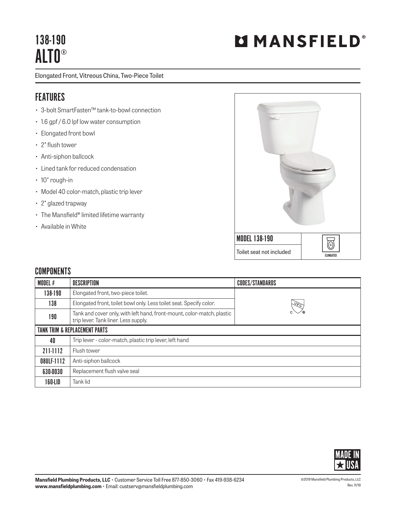## 138-190 ALTO®

Elongated Front, Vitreous China, Two-Piece Toilet

## FEATURES

- 3-bolt SmartFasten™ tank-to-bowl connection
- 1.6 gpf / 6.0 lpf low water consumption
- Elongated front bowl
- 2" flush tower
- Anti-siphon ballcock
- Lined tank for reduced condensation
- 10" rough-in
- Model 40 color-match, plastic trip lever
- 2" glazed trapway
- The Mansfield® limited lifetime warranty
- Available in White



## **COMPONENTS**

| MODEL #                                  | <b>DESCRIPTION</b>                                                                                             | <b>CODES/STANDARDS</b> |  |
|------------------------------------------|----------------------------------------------------------------------------------------------------------------|------------------------|--|
| 138-190                                  | Elongated front, two-piece toilet.                                                                             |                        |  |
| 138                                      | Elongated front, toilet bowl only. Less toilet seat. Specify color.                                            | $\sqrt{2}$             |  |
| 190                                      | Tank and cover only, with left hand, front-mount, color-match, plastic<br>trip lever. Tank liner. Less supply. |                        |  |
| <b>TANK TRIM &amp; REPLACEMENT PARTS</b> |                                                                                                                |                        |  |
| 40                                       | Trip lever - color-match, plastic trip lever, left hand                                                        |                        |  |
| 211-1112                                 | Flush tower                                                                                                    |                        |  |
| 08ULF-1112                               | Anti-siphon ballcock                                                                                           |                        |  |
| 630-0030                                 | Replacement flush valve seal                                                                                   |                        |  |
| 160-LID                                  | Tank lid                                                                                                       |                        |  |